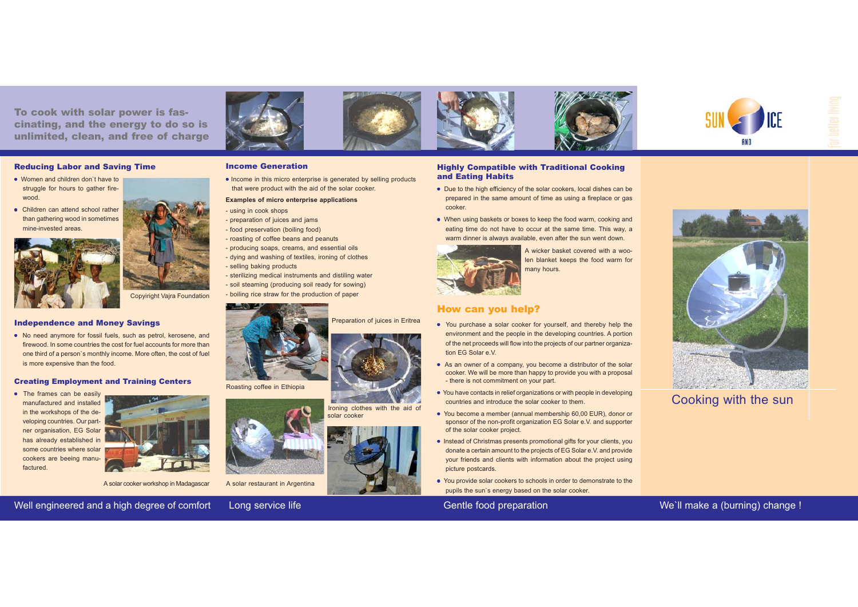To cook with solar power is fascinating, and the energy to do so is unlimited, clean, and free of charge

Income Generation

• Income in this micro enterprise is generated by selling products that were product with the aid of the solar cooker.

#### Reducing Labor and Saving Time

- Women and children don`t have tostruggle for hours to gather firewood.
- Children can attend school rather than gathering wood in sometimes mine-invested areas.





Copyiright Vajra Foundation

### Independence and Money Savings

• No need anymore for fossil fuels, such as petrol, kerosene, and firewood. In some countries the cost for fuel accounts for more thanone third of a person`s monthly income. More often, the cost of fuel is more expensive than the food.

#### Creating Employment and Training Centers

• The frames can be easily manufactured and installedin the workshops of the developing countries. Our partner organisation, EG Solar has already established in some countries where solar cookers are beeing manufactured.



A solar cooker workshop in Madagascar



A solar restaurant in Argentina

Well engineered and a high degree of comfort Long service life Gentle Gentle food preparation

Ironing clothes with the aid of

Preparation of juices in Eritrea

solar cooker





- Due to the high efficiency of the solar cookers, local dishes can be prepared in the same amount of time as using a fireplace or gas cooker.
- When using baskets or boxes to keep the food warm, cooking and eating time do not have to occur at the same time. This way, a warm dinner is always available, even after the sun went down.



A wicker basket covered with a woolen blanket keeps the food warm for many hours.

### How can you help?

- You purchase a solar cooker for yourself, and thereby help the environment and the people in the developing countries. A portion of the net proceeds will flow into the projects of our partner organization EG Solar e.V.
- As an owner of a company, you become a distributor of the solar cooker. We will be more than happy to provide you with a proposal - there is not commitment on your part.
- You have contacts in relief organizations or with people in developing countries and introduce the solar cooker to them.
- You become a member (annual membership 60,00 EUR), donor or sponsor of the non-profit organization EG Solar e.V. and supporter of the solar cooker project.
- Instead of Christmas presents promotional gifts for your clients, you donate a certain amount to the projects of EG Solar e.V. and provide your friends and clients with information about the project using picture postcards.
- You provide solar cookers to schools in order to demonstrate to the pupils the sun`s energy based on the solar cooker.



Cooking with the sun

## We'll make a (burning) change !